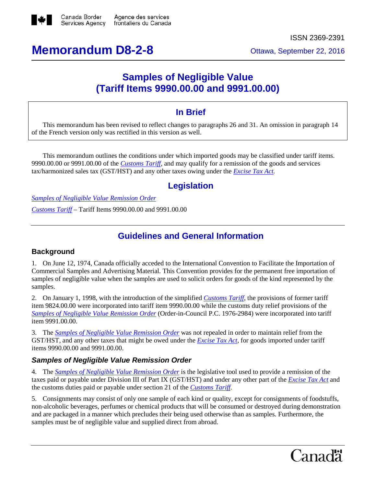

# **Memorandum D8-2-8** Ottawa, September 22, 2016

## **Samples of Negligible Value (Tariff Items 9990.00.00 and 9991.00.00)**

### **In Brief**

This memorandum has been revised to reflect changes to paragraphs 26 and 31. An omission in paragraph 14 of the French version only was rectified in this version as well.

This memorandum outlines the conditions under which imported goods may be classified under tariff items. 9990.00.00 or 9991.00.00 of the *[Customs Tariff,](http://www.cbsa-asfc.gc.ca/trade-commerce/tariff-tarif/menu-eng.html)* and may qualify for a remission of the goods and services tax/harmonized sales tax (GST/HST) and any other taxes owing under the *[Excise Tax Act.](http://laws-lois.justice.gc.ca/eng/acts/e-15/FullText.html)*

## **Legislation**

*[Samples of Negligible Value Remission Order](http://www.lois.justice.gc.ca/eng/regulations/C.R.C.,_c._786/FullText.html)*

*[Customs Tariff](http://www.cbsa-asfc.gc.ca/trade-commerce/tariff-tarif/menu-eng.html)* – Tariff Items 9990.00.00 and 9991.00.00

## **Guidelines and General Information**

#### **Background**

1. On June 12, 1974, Canada officially acceded to the International Convention to Facilitate the Importation of Commercial Samples and Advertising Material*.* This Convention provides for the permanent free importation of samples of negligible value when the samples are used to solicit orders for goods of the kind represented by the samples.

2. On January 1, 1998, with the introduction of the simplified *[Customs Tariff](http://www.cbsa-asfc.gc.ca/trade-commerce/tariff-tarif/menu-eng.html)*, the provisions of former tariff item 9824.00.00 were incorporated into tariff item 9990.00.00 while the customs duty relief provisions of the *[Samples of Negligible Value Remission Order](http://www.lois.justice.gc.ca/eng/regulations/C.R.C.,_c._786/FullText.html)* (Order-in-Council P.C. 1976-2984) were incorporated into tariff item 9991.00.00.

3. The *[Samples of Negligible Value Remission Order](http://www.lois.justice.gc.ca/eng/regulations/C.R.C.,_c._786/FullText.html)* was not repealed in order to maintain relief from the GST/HST, and any other taxes that might be owed under the *[Excise Tax Act,](http://laws-lois.justice.gc.ca/eng/acts/e-15/FullText.html)* for goods imported under tariff items 9990.00.00 and 9991.00.00.

#### *Samples of Negligible Value Remission Order*

4. The *[Samples of Negligible Value Remission Order](http://www.lois.justice.gc.ca/eng/regulations/C.R.C.,_c._786/FullText.html)* is the legislative tool used to provide a remission of the taxes paid or payable under Division III of Part IX (GST/HST) and under any other part of the *[Excise Tax Act](http://laws-lois.justice.gc.ca/eng/acts/e-15/FullText.html)* and the customs duties paid or payable under section 21 of the *[Customs Tariff.](http://www.cbsa-asfc.gc.ca/trade-commerce/tariff-tarif/menu-eng.html)*

5. Consignments may consist of only one sample of each kind or quality, except for consignments of foodstuffs, non-alcoholic beverages, perfumes or chemical products that will be consumed or destroyed during demonstration and are packaged in a manner which precludes their being used otherwise than as samples. Furthermore, the samples must be of negligible value and supplied direct from abroad.

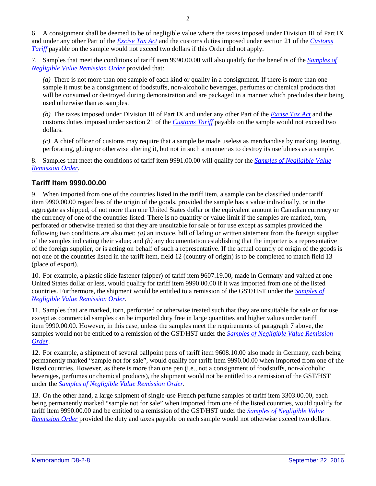6. A consignment shall be deemed to be of negligible value where the taxes imposed under Division III of Part IX and under any other Part of the *[Excise Tax Act](http://laws-lois.justice.gc.ca/eng/acts/e-15/FullText.html)* and the customs duties imposed under section 21 of the *[Customs](http://www.cbsa-asfc.gc.ca/trade-commerce/tariff-tarif/menu-eng.html)  [Tariff](http://www.cbsa-asfc.gc.ca/trade-commerce/tariff-tarif/menu-eng.html)* payable on the sample would not exceed two dollars if this Order did not apply.

7. Samples that meet the conditions of tariff item 9990.00.00 will also qualify for the benefits of the *[Samples of](http://www.lois.justice.gc.ca/eng/regulations/C.R.C.,_c._786/FullText.html)  [Negligible Value Remission Order](http://www.lois.justice.gc.ca/eng/regulations/C.R.C.,_c._786/FullText.html)* provided that:

*(a)* There is not more than one sample of each kind or quality in a consignment. If there is more than one sample it must be a consignment of foodstuffs, non-alcoholic beverages, perfumes or chemical products that will be consumed or destroyed during demonstration and are packaged in a manner which precludes their being used otherwise than as samples.

*(b)* The taxes imposed under Division III of Part IX and under any other Part of the *[Excise Tax Act](http://laws-lois.justice.gc.ca/eng/acts/e-15/FullText.html)* and the customs duties imposed under section 21 of the *[Customs Tariff](http://www.cbsa-asfc.gc.ca/trade-commerce/tariff-tarif/menu-eng.html)* payable on the sample would not exceed two dollars.

*(c)* A chief officer of customs may require that a sample be made useless as merchandise by marking, tearing, perforating, gluing or otherwise altering it, but not in such a manner as to destroy its usefulness as a sample.

8. Samples that meet the conditions of tariff item 9991.00.00 will qualify for the *[Samples of Negligible Value](http://www.lois.justice.gc.ca/eng/regulations/C.R.C.,_c._786/FullText.html)  [Remission Order](http://www.lois.justice.gc.ca/eng/regulations/C.R.C.,_c._786/FullText.html)*.

#### **Tariff Item 9990.00.00**

9. When imported from one of the countries listed in the tariff item, a sample can be classified under tariff item 9990.00.00 regardless of the origin of the goods, provided the sample has a value individually, or in the aggregate as shipped, of not more than one United States dollar or the equivalent amount in Canadian currency or the currency of one of the countries listed. There is no quantity or value limit if the samples are marked, torn, perforated or otherwise treated so that they are unsuitable for sale or for use except as samples provided the following two conditions are also met: *(a)* an invoice, bill of lading or written statement from the foreign supplier of the samples indicating their value; and *(b)* any documentation establishing that the importer is a representative of the foreign supplier, or is acting on behalf of such a representative. If the actual country of origin of the goods is not one of the countries listed in the tariff item, field 12 (country of origin) is to be completed to match field 13 (place of export).

10. For example, a plastic slide fastener (zipper) of tariff item 9607.19.00, made in Germany and valued at one United States dollar or less, would qualify for tariff item 9990.00.00 if it was imported from one of the listed countries. Furthermore, the shipment would be entitled to a remission of the GST/HST under the *[Samples of](http://www.lois.justice.gc.ca/eng/regulations/C.R.C.,_c._786/FullText.html)  [Negligible Value Remission Order](http://www.lois.justice.gc.ca/eng/regulations/C.R.C.,_c._786/FullText.html)*.

11. Samples that are marked, torn, perforated or otherwise treated such that they are unsuitable for sale or for use except as commercial samples can be imported duty free in large quantities and higher values under tariff item 9990.00.00. However, in this case, unless the samples meet the requirements of paragraph 7 above, the samples would not be entitled to a remission of the GST/HST under the *[Samples of Negligible Value Remission](http://www.lois.justice.gc.ca/eng/regulations/C.R.C.,_c._786/FullText.html)  [Order](http://www.lois.justice.gc.ca/eng/regulations/C.R.C.,_c._786/FullText.html)*.

12. For example, a shipment of several ballpoint pens of tariff item 9608.10.00 also made in Germany, each being permanently marked "sample not for sale", would qualify for tariff item 9990.00.00 when imported from one of the listed countries. However, as there is more than one pen (i.e., not a consignment of foodstuffs, non-alcoholic beverages, perfumes or chemical products), the shipment would not be entitled to a remission of the GST/HST under the *[Samples of Negligible Value Remission Order.](http://www.lois.justice.gc.ca/eng/regulations/C.R.C.,_c._786/FullText.html)*

13. On the other hand, a large shipment of single-use French perfume samples of tariff item 3303.00.00, each being permanently marked "sample not for sale" when imported from one of the listed countries, would qualify for tariff item 9990.00.00 and be entitled to a remission of the GST/HST under the *[Samples of Negligible Value](http://www.lois.justice.gc.ca/eng/regulations/C.R.C.,_c._786/FullText.html)  [Remission Order](http://www.lois.justice.gc.ca/eng/regulations/C.R.C.,_c._786/FullText.html)* provided the duty and taxes payable on each sample would not otherwise exceed two dollars.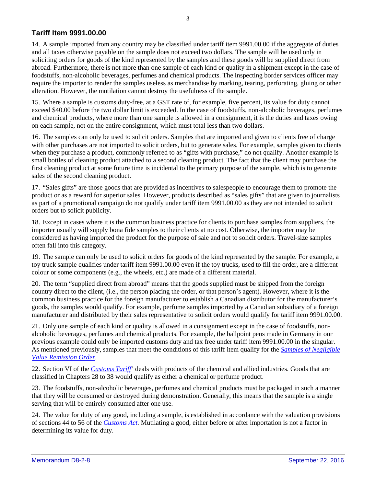#### **Tariff Item 9991.00.00**

14. A sample imported from any country may be classified under tariff item 9991.00.00 if the aggregate of duties and all taxes otherwise payable on the sample does not exceed two dollars. The sample will be used only in soliciting orders for goods of the kind represented by the samples and these goods will be supplied direct from abroad. Furthermore, there is not more than one sample of each kind or quality in a shipment except in the case of foodstuffs, non-alcoholic beverages, perfumes and chemical products. The inspecting border services officer may require the importer to render the samples useless as merchandise by marking, tearing, perforating, gluing or other alteration. However, the mutilation cannot destroy the usefulness of the sample.

15. Where a sample is customs duty-free, at a GST rate of, for example, five percent, its value for duty cannot exceed \$40.00 before the two dollar limit is exceeded. In the case of foodstuffs, non-alcoholic beverages, perfumes and chemical products, where more than one sample is allowed in a consignment, it is the duties and taxes owing on each sample, not on the entire consignment, which must total less than two dollars.

16. The samples can only be used to solicit orders. Samples that are imported and given to clients free of charge with other purchases are not imported to solicit orders, but to generate sales. For example, samples given to clients when they purchase a product, commonly referred to as "gifts with purchase," do not qualify. Another example is small bottles of cleaning product attached to a second cleaning product. The fact that the client may purchase the first cleaning product at some future time is incidental to the primary purpose of the sample, which is to generate sales of the second cleaning product.

17. "Sales gifts" are those goods that are provided as incentives to salespeople to encourage them to promote the product or as a reward for superior sales. However, products described as "sales gifts" that are given to journalists as part of a promotional campaign do not qualify under tariff item 9991.00.00 as they are not intended to solicit orders but to solicit publicity.

18. Except in cases where it is the common business practice for clients to purchase samples from suppliers, the importer usually will supply bona fide samples to their clients at no cost. Otherwise, the importer may be considered as having imported the product for the purpose of sale and not to solicit orders. Travel-size samples often fall into this category.

19. The sample can only be used to solicit orders for goods of the kind represented by the sample. For example, a toy truck sample qualifies under tariff item 9991.00.00 even if the toy trucks, used to fill the order, are a different colour or some components (e.g., the wheels, etc.) are made of a different material.

20. The term "supplied direct from abroad" means that the goods supplied must be shipped from the foreign country direct to the client, (i.e., the person placing the order, or that person's agent). However, where it is the common business practice for the foreign manufacturer to establish a Canadian distributor for the manufacturer's goods, the samples would qualify. For example, perfume samples imported by a Canadian subsidiary of a foreign manufacturer and distributed by their sales representative to solicit orders would qualify for tariff item 9991.00.00.

21. Only one sample of each kind or quality is allowed in a consignment except in the case of foodstuffs, nonalcoholic beverages, perfumes and chemical products. For example, the ballpoint pens made in Germany in our previous example could only be imported customs duty and tax free under tariff item 9991.00.00 in the singular. As mentioned previously, samples that meet the conditions of this tariff item qualify for the *[Samples of Negligible](http://www.lois.justice.gc.ca/eng/regulations/C.R.C.,_c._786/FullText.html)  [Value Remission Order.](http://www.lois.justice.gc.ca/eng/regulations/C.R.C.,_c._786/FullText.html)*

22. Section VI of the *[Customs Tariff](http://www.cbsa-asfc.gc.ca/trade-commerce/tariff-tarif/menu-eng.html)*' deals with products of the chemical and allied industries. Goods that are classified in Chapters 28 to 38 would qualify as either a chemical or perfume product.

23. The foodstuffs, non-alcoholic beverages, perfumes and chemical products must be packaged in such a manner that they will be consumed or destroyed during demonstration. Generally, this means that the sample is a single serving that will be entirely consumed after one use.

24. The value for duty of any good, including a sample, is established in accordance with the valuation provisions of sections 44 to 56 of the *[Customs Act.](http://laws-lois.justice.gc.ca/eng/acts/C-52.6/FullText.html)* Mutilating a good, either before or after importation is not a factor in determining its value for duty.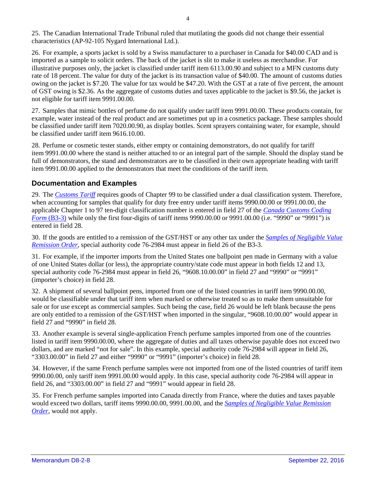25. The Canadian International Trade Tribunal ruled that mutilating the goods did not change their essential characteristics (AP-92-105 Nygard International Ltd.).

26. For example, a sports jacket is sold by a Swiss manufacturer to a purchaser in Canada for \$40.00 CAD and is imported as a sample to solicit orders. The back of the jacket is slit to make it useless as merchandise. For illustrative purposes only, the jacket is classified under tariff item 6113.00.90 and subject to a MFN customs duty rate of 18 percent. The value for duty of the jacket is its transaction value of \$40.00. The amount of customs duties owing on the jacket is \$7.20. The value for tax would be \$47.20. With the GST at a rate of five percent, the amount of GST owing is \$2.36. As the aggregate of customs duties and taxes applicable to the jacket is \$9.56, the jacket is not eligible for tariff item 9991.00.00.

27. Samples that mimic bottles of perfume do not qualify under tariff item 9991.00.00. These products contain, for example, water instead of the real product and are sometimes put up in a cosmetics package. These samples should be classified under tariff item 7020.00.90, as display bottles. Scent sprayers containing water, for example, should be classified under tariff item 9616.10.00.

28. Perfume or cosmetic tester stands, either empty or containing demonstrators, do not qualify for tariff item 9991.00.00 where the stand is neither attached to or an integral part of the sample. Should the display stand be full of demonstrators, the stand and demonstrators are to be classified in their own appropriate heading with tariff item 9991.00.00 applied to the demonstrators that meet the conditions of the tariff item.

#### **Documentation and Examples**

29. The *[Customs Tariff](http://www.cbsa-asfc.gc.ca/trade-commerce/tariff-tarif/menu-eng.html)* requires goods of Chapter 99 to be classified under a dual classification system. Therefore, when accounting for samples that qualify for duty free entry under tariff items 9990.00.00 or 9991.00.00, the applicable Chapter 1 to 97 ten-digit classification number is entered in field 27 of the *[Canada Customs Coding](http://www.cbsa-asfc.gc.ca/publications/forms-formulaires/b3-3-eng.html)  Form* [\(B3-3\)](http://www.cbsa-asfc.gc.ca/publications/forms-formulaires/b3-3-eng.html) while only the first four-digits of tariff items 9990.00.00 or 9991.00.00 (i.e. "9990" or "9991") is entered in field 28.

30. If the goods are entitled to a remission of the GST/HST or any other tax under the *[Samples of Negligible Value](http://www.lois.justice.gc.ca/eng/regulations/C.R.C.,_c._786/FullText.html)  [Remission Order](http://www.lois.justice.gc.ca/eng/regulations/C.R.C.,_c._786/FullText.html)*, special authority code 76-2984 must appear in field 26 of the B3-3.

31. For example, if the importer imports from the United States one ballpoint pen made in Germany with a value of one United States dollar (or less), the appropriate country/state code must appear in both fields 12 and 13, special authority code 76-2984 must appear in field 26, "9608.10.00.00" in field 27 and "9990" or "9991" (importer's choice) in field 28.

32. A shipment of several ballpoint pens, imported from one of the listed countries in tariff item 9990.00.00, would be classifiable under that tariff item when marked or otherwise treated so as to make them unsuitable for sale or for use except as commercial samples. Such being the case, field 26 would be left blank because the pens are only entitled to a remission of the GST/HST when imported in the singular, "9608.10.00.00" would appear in field 27 and "9990" in field 28.

33. Another example is several single-application French perfume samples imported from one of the countries listed in tariff item 9990.00.00, where the aggregate of duties and all taxes otherwise payable does not exceed two dollars, and are marked "not for sale". In this example, special authority code 76-2984 will appear in field 26, "3303.00.00" in field 27 and either "9990" or "9991" (importer's choice) in field 28.

34. However, if the same French perfume samples were not imported from one of the listed countries of tariff item 9990.00.00, only tariff item 9991.00.00 would apply. In this case, special authority code 76-2984 will appear in field 26, and "3303.00.00" in field 27 and "9991" would appear in field 28.

35. For French perfume samples imported into Canada directly from France, where the duties and taxes payable would exceed two dollars, tariff items 9990.00.00, 9991.00.00, and the *[Samples of Negligible Value Remission](http://www.lois.justice.gc.ca/eng/regulations/C.R.C.,_c._786/FullText.html)  [Order,](http://www.lois.justice.gc.ca/eng/regulations/C.R.C.,_c._786/FullText.html)* would not apply.